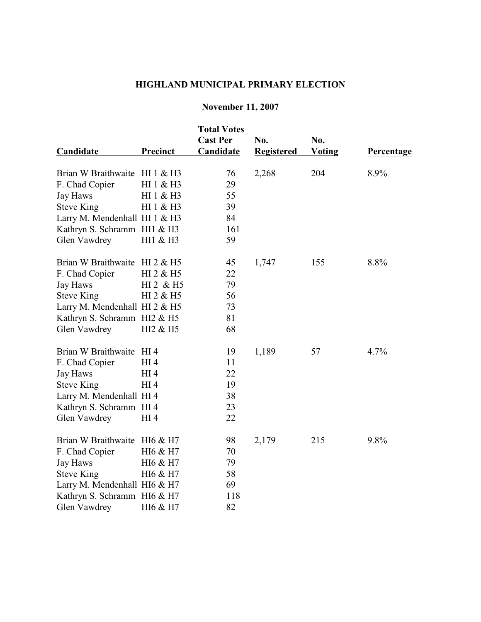## **HIGHLAND MUNICIPAL PRIMARY ELECTION**

## **November 11, 2007**

| Candidate                     | Precinct              | <b>Total Votes</b><br><b>Cast Per</b><br>Candidate | No.<br><b>Registered</b> | No.<br><b>Voting</b> | Percentage |
|-------------------------------|-----------------------|----------------------------------------------------|--------------------------|----------------------|------------|
| Brian W Braithwaite HI 1 & H3 |                       | 76                                                 | 2,268                    | 204                  | 8.9%       |
| F. Chad Copier                | HI 1 & H3             | 29                                                 |                          |                      |            |
| Jay Haws                      | HI 1 & H3             | 55                                                 |                          |                      |            |
| <b>Steve King</b>             | HI 1 & H3             | 39                                                 |                          |                      |            |
| Larry M. Mendenhall HI 1 & H3 |                       | 84                                                 |                          |                      |            |
| Kathryn S. Schramm HI1 & H3   |                       | 161                                                |                          |                      |            |
| Glen Vawdrey                  | HI1 & H3              | 59                                                 |                          |                      |            |
| Brian W Braithwaite HI 2 & H5 |                       | 45                                                 | 1,747                    | 155                  | 8.8%       |
| F. Chad Copier                | HI 2 & H5             | 22                                                 |                          |                      |            |
| Jay Haws                      | HI 2 & H <sub>5</sub> | 79                                                 |                          |                      |            |
| <b>Steve King</b>             | HI 2 & H <sub>5</sub> | 56                                                 |                          |                      |            |
| Larry M. Mendenhall HI 2 & H5 |                       | 73                                                 |                          |                      |            |
| Kathryn S. Schramm HI2 & H5   |                       | 81                                                 |                          |                      |            |
| Glen Vawdrey                  | HI2 & H5              | 68                                                 |                          |                      |            |
| Brian W Braithwaite HI 4      |                       | 19                                                 | 1,189                    | 57                   | 4.7%       |
| F. Chad Copier                | HI <sub>4</sub>       | 11                                                 |                          |                      |            |
| Jay Haws                      | HI <sub>4</sub>       | 22                                                 |                          |                      |            |
| <b>Steve King</b>             | HI <sub>4</sub>       | 19                                                 |                          |                      |            |
| Larry M. Mendenhall HI 4      |                       | 38                                                 |                          |                      |            |
| Kathryn S. Schramm HI 4       |                       | 23                                                 |                          |                      |            |
| Glen Vawdrey                  | HI 4                  | 22                                                 |                          |                      |            |
| Brian W Braithwaite HI6 & H7  |                       | 98                                                 | 2,179                    | 215                  | 9.8%       |
| F. Chad Copier                | HI6 & H7              | 70                                                 |                          |                      |            |
| Jay Haws                      | HI6 & H7              | 79                                                 |                          |                      |            |
| <b>Steve King</b>             | HI6 & H7              | 58                                                 |                          |                      |            |
| Larry M. Mendenhall HI6 & H7  |                       | 69                                                 |                          |                      |            |
| Kathryn S. Schramm HI6 & H7   |                       | 118                                                |                          |                      |            |
| Glen Vawdrey                  | HI6 & H7              | 82                                                 |                          |                      |            |